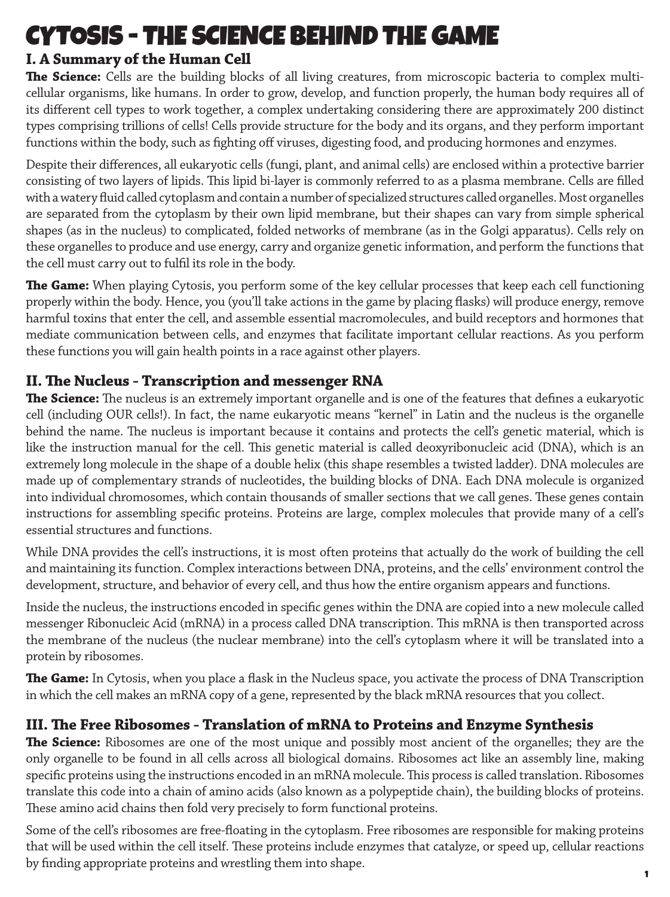# CYTOSIS - THE SCIENCE BEHIND THE GAME

## **I. A Summary of the Human Cell**

**The Science:** Cells are the building blocks of all living creatures, from microscopic bacteria to complex multicellular organisms, like humans. In order to grow, develop, and function properly, the human body requires all of its different cell types to work together, a complex undertaking considering there are approximately 200 distinct types comprising trillions of cells! Cells provide structure for the body and its organs, and they perform important functions within the body, such as fighting off viruses, digesting food, and producing hormones and enzymes.

Despite their differences, all eukaryotic cells (fungi, plant, and animal cells) are enclosed within a protective barrier consisting of two layers of lipids. This lipid bi-layer is commonly referred to as a plasma membrane. Cells are filled with a watery fluid called cytoplasm and contain a number of specialized structures called organelles. Most organelles are separated from the cytoplasm by their own lipid membrane, but their shapes can vary from simple spherical shapes (as in the nucleus) to complicated, folded networks of membrane (as in the Golgi apparatus). Cells rely on these organelles to produce and use energy, carry and organize genetic information, and perform the functions that the cell must carry out to fulfil its role in the body.

**The Game:** When playing Cytosis, you perform some of the key cellular processes that keep each cell functioning properly within the body. Hence, you (you'll take actions in the game by placing flasks) will produce energy, remove harmful toxins that enter the cell, and assemble essential macromolecules, and build receptors and hormones that mediate communication between cells, and enzymes that facilitate important cellular reactions. As you perform these functions you will gain health points in a race against other players.

#### **II. The Nucleus - Transcription and messenger RNA**

**The Science:** The nucleus is an extremely important organelle and is one of the features that defines a eukaryotic cell (including OUR cells!). In fact, the name eukaryotic means "kernel" in Latin and the nucleus is the organelle behind the name. The nucleus is important because it contains and protects the cell's genetic material, which is like the instruction manual for the cell. This genetic material is called deoxyribonucleic acid (DNA), which is an extremely long molecule in the shape of a double helix (this shape resembles a twisted ladder). DNA molecules are made up of complementary strands of nucleotides, the building blocks of DNA. Each DNA molecule is organized into individual chromosomes, which contain thousands of smaller sections that we call genes. These genes contain instructions for assembling specific proteins. Proteins are large, complex molecules that provide many of a cell's essential structures and functions.

While DNA provides the cell's instructions, it is most often proteins that actually do the work of building the cell and maintaining its function. Complex interactions between DNA, proteins, and the cells' environment control the development, structure, and behavior of every cell, and thus how the entire organism appears and functions.

Inside the nucleus, the instructions encoded in specific genes within the DNA are copied into a new molecule called messenger Ribonucleic Acid (mRNA) in a process called DNA transcription. This mRNA is then transported across the membrane of the nucleus (the nuclear membrane) into the cell's cytoplasm where it will be translated into a protein by ribosomes.

**The Game:** In Cytosis, when you place a flask in the Nucleus space, you activate the process of DNA Transcription in which the cell makes an mRNA copy of a gene, represented by the black mRNA resources that you collect.

#### **III. The Free Ribosomes - Translation of mRNA to Proteins and Enzyme Synthesis**

**The Science:** Ribosomes are one of the most unique and possibly most ancient of the organelles; they are the only organelle to be found in all cells across all biological domains. Ribosomes act like an assembly line, making specific proteins using the instructions encoded in an mRNA molecule. This process is called translation. Ribosomes translate this code into a chain of amino acids (also known as a polypeptide chain), the building blocks of proteins. These amino acid chains then fold very precisely to form functional proteins.

Some of the cell's ribosomes are free-floating in the cytoplasm. Free ribosomes are responsible for making proteins that will be used within the cell itself. These proteins include enzymes that catalyze, or speed up, cellular reactions by finding appropriate proteins and wrestling them into shape.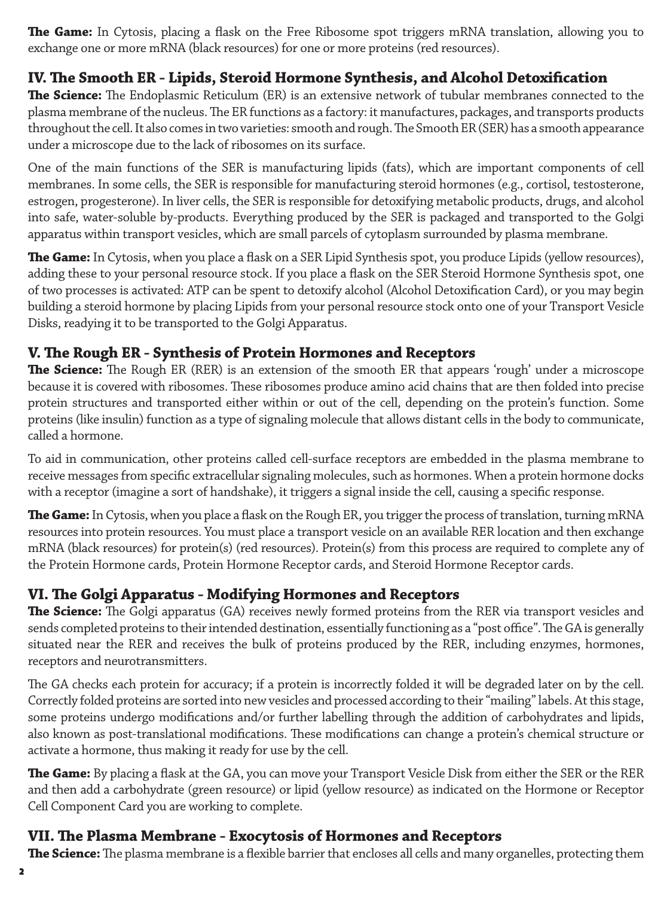**The Game:** In Cytosis, placing a flask on the Free Ribosome spot triggers mRNA translation, allowing you to exchange one or more mRNA (black resources) for one or more proteins (red resources).

#### **IV. The Smooth ER - Lipids, Steroid Hormone Synthesis, and Alcohol Detoxification**

**The Science:** The Endoplasmic Reticulum (ER) is an extensive network of tubular membranes connected to the plasma membrane of the nucleus. The ER functions as a factory: it manufactures, packages, and transports products throughout the cell. It also comes in two varieties: smooth and rough. The Smooth ER (SER) has a smooth appearance under a microscope due to the lack of ribosomes on its surface.

One of the main functions of the SER is manufacturing lipids (fats), which are important components of cell membranes. In some cells, the SER is responsible for manufacturing steroid hormones (e.g., cortisol, testosterone, estrogen, progesterone). In liver cells, the SER is responsible for detoxifying metabolic products, drugs, and alcohol into safe, water-soluble by-products. Everything produced by the SER is packaged and transported to the Golgi apparatus within transport vesicles, which are small parcels of cytoplasm surrounded by plasma membrane.

**The Game:** In Cytosis, when you place a flask on a SER Lipid Synthesis spot, you produce Lipids (yellow resources), adding these to your personal resource stock. If you place a flask on the SER Steroid Hormone Synthesis spot, one of two processes is activated: ATP can be spent to detoxify alcohol (Alcohol Detoxification Card), or you may begin building a steroid hormone by placing Lipids from your personal resource stock onto one of your Transport Vesicle Disks, readying it to be transported to the Golgi Apparatus.

#### **V. The Rough ER - Synthesis of Protein Hormones and Receptors**

**The Science:** The Rough ER (RER) is an extension of the smooth ER that appears 'rough' under a microscope because it is covered with ribosomes. These ribosomes produce amino acid chains that are then folded into precise protein structures and transported either within or out of the cell, depending on the protein's function. Some proteins (like insulin) function as a type of signaling molecule that allows distant cells in the body to communicate, called a hormone.

To aid in communication, other proteins called cell-surface receptors are embedded in the plasma membrane to receive messages from specific extracellular signaling molecules, such as hormones. When a protein hormone docks with a receptor (imagine a sort of handshake), it triggers a signal inside the cell, causing a specific response.

**The Game:** In Cytosis, when you place a flask on the Rough ER, you trigger the process of translation, turning mRNA resources into protein resources. You must place a transport vesicle on an available RER location and then exchange mRNA (black resources) for protein(s) (red resources). Protein(s) from this process are required to complete any of the Protein Hormone cards, Protein Hormone Receptor cards, and Steroid Hormone Receptor cards.

#### **VI. The Golgi Apparatus - Modifying Hormones and Receptors**

**The Science:** The Golgi apparatus (GA) receives newly formed proteins from the RER via transport vesicles and sends completed proteins to their intended destination, essentially functioning as a "post office". The GA is generally situated near the RER and receives the bulk of proteins produced by the RER, including enzymes, hormones, receptors and neurotransmitters.

The GA checks each protein for accuracy; if a protein is incorrectly folded it will be degraded later on by the cell. Correctly folded proteins are sorted into new vesicles and processed according to their "mailing" labels. At this stage, some proteins undergo modifications and/or further labelling through the addition of carbohydrates and lipids, also known as post-translational modifications. These modifications can change a protein's chemical structure or activate a hormone, thus making it ready for use by the cell.

**The Game:** By placing a flask at the GA, you can move your Transport Vesicle Disk from either the SER or the RER and then add a carbohydrate (green resource) or lipid (yellow resource) as indicated on the Hormone or Receptor Cell Component Card you are working to complete.

#### **VII. The Plasma Membrane - Exocytosis of Hormones and Receptors**

**The Science:** The plasma membrane is a flexible barrier that encloses all cells and many organelles, protecting them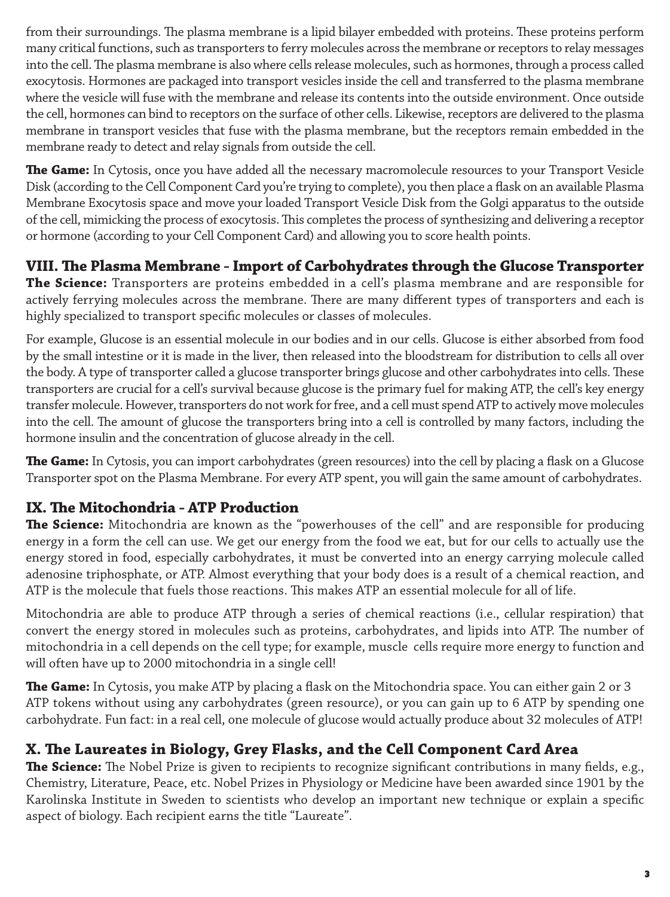from their surroundings. The plasma membrane is a lipid bilayer embedded with proteins. These proteins perform many critical functions, such as transporters to ferry molecules across the membrane or receptors to relay messages into the cell. The plasma membrane is also where cells release molecules, such as hormones, through a process called exocytosis. Hormones are packaged into transport vesicles inside the cell and transferred to the plasma membrane where the vesicle will fuse with the membrane and release its contents into the outside environment. Once outside the cell, hormones can bind to receptors on the surface of other cells. Likewise, receptors are delivered to the plasma membrane in transport vesicles that fuse with the plasma membrane, but the receptors remain embedded in the membrane ready to detect and relay signals from outside the cell.

**The Game:** In Cytosis, once you have added all the necessary macromolecule resources to your Transport Vesicle Disk (according to the Cell Component Card you're trying to complete), you then place a flask on an available Plasma Membrane Exocytosis space and move your loaded Transport Vesicle Disk from the Golgi apparatus to the outside of the cell, mimicking the process of exocytosis. This completes the process of synthesizing and delivering a receptor or hormone (according to your Cell Component Card) and allowing you to score health points.

#### **VIII. The Plasma Membrane - Import of Carbohydrates through the Glucose Transporter**

**The Science:** Transporters are proteins embedded in a cell's plasma membrane and are responsible for actively ferrying molecules across the membrane. There are many different types of transporters and each is highly specialized to transport specific molecules or classes of molecules.

For example, Glucose is an essential molecule in our bodies and in our cells. Glucose is either absorbed from food by the small intestine or it is made in the liver, then released into the bloodstream for distribution to cells all over the body. A type of transporter called a glucose transporter brings glucose and other carbohydrates into cells. These transporters are crucial for a cell's survival because glucose is the primary fuel for making ATP, the cell's key energy transfer molecule. However, transporters do not work for free, and a cell must spend ATP to actively move molecules into the cell. The amount of glucose the transporters bring into a cell is controlled by many factors, including the hormone insulin and the concentration of glucose already in the cell.

**The Game:** In Cytosis, you can import carbohydrates (green resources) into the cell by placing a flask on a Glucose Transporter spot on the Plasma Membrane. For every ATP spent, you will gain the same amount of carbohydrates.

### **IX. The Mitochondria - ATP Production**

**The Science:** Mitochondria are known as the "powerhouses of the cell" and are responsible for producing energy in a form the cell can use. We get our energy from the food we eat, but for our cells to actually use the energy stored in food, especially carbohydrates, it must be converted into an energy carrying molecule called adenosine triphosphate, or ATP. Almost everything that your body does is a result of a chemical reaction, and ATP is the molecule that fuels those reactions. This makes ATP an essential molecule for all of life.

Mitochondria are able to produce ATP through a series of chemical reactions (i.e., cellular respiration) that convert the energy stored in molecules such as proteins, carbohydrates, and lipids into ATP. The number of mitochondria in a cell depends on the cell type; for example, muscle cells require more energy to function and will often have up to 2000 mitochondria in a single cell!

**The Game:** In Cytosis, you make ATP by placing a flask on the Mitochondria space. You can either gain 2 or 3 ATP tokens without using any carbohydrates (green resource), or you can gain up to 6 ATP by spending one carbohydrate. Fun fact: in a real cell, one molecule of glucose would actually produce about 32 molecules of ATP!

#### **X. The Laureates in Biology, Grey Flasks, and the Cell Component Card Area**

**The Science:** The Nobel Prize is given to recipients to recognize significant contributions in many fields, e.g., Chemistry, Literature, Peace, etc. Nobel Prizes in Physiology or Medicine have been awarded since 1901 by the Karolinska Institute in Sweden to scientists who develop an important new technique or explain a specific aspect of biology. Each recipient earns the title "Laureate".